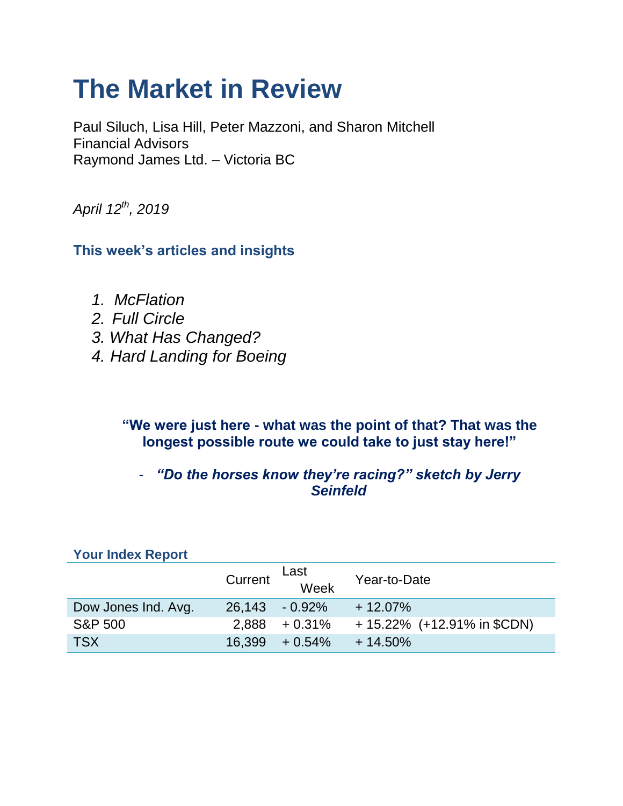# **The Market in Review**

Paul Siluch, Lisa Hill, Peter Mazzoni, and Sharon Mitchell Financial Advisors Raymond James Ltd. – Victoria BC

*April 12th, 2019*

**This week's articles and insights**

- *1. McFlation*
- *2. Full Circle*
- *3. What Has Changed?*
- *4. Hard Landing for Boeing*

**"We were just here - what was the point of that? That was the longest possible route we could take to just stay here!"**

### - *"Do the horses know they're racing?" sketch by Jerry Seinfeld*

| <b>Your Index Report</b> |         |                   |                                |
|--------------------------|---------|-------------------|--------------------------------|
|                          | Current | Last<br>Week      | Year-to-Date                   |
| Dow Jones Ind. Avg.      |         | 26,143 - 0.92%    | $+12.07\%$                     |
| <b>S&amp;P 500</b>       | 2.888   | $+0.31\%$         | $+ 15.22\%$ (+12.91% in \$CDN) |
| <b>TSX</b>               |         | $16,399 + 0.54\%$ | $+14.50%$                      |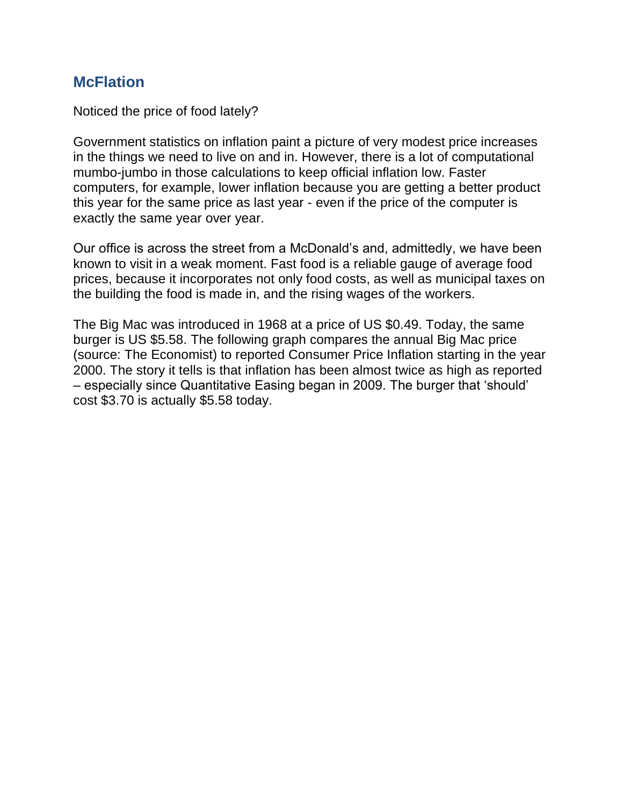### **McFlation**

Noticed the price of food lately?

Government statistics on inflation paint a picture of very modest price increases in the things we need to live on and in. However, there is a lot of computational mumbo-jumbo in those calculations to keep official inflation low. Faster computers, for example, lower inflation because you are getting a better product this year for the same price as last year - even if the price of the computer is exactly the same year over year.

Our office is across the street from a McDonald's and, admittedly, we have been known to visit in a weak moment. Fast food is a reliable gauge of average food prices, because it incorporates not only food costs, as well as municipal taxes on the building the food is made in, and the rising wages of the workers.

The Big Mac was introduced in 1968 at a price of US \$0.49. Today, the same burger is US \$5.58. The following graph compares the annual Big Mac price (source: The Economist) to reported Consumer Price Inflation starting in the year 2000. The story it tells is that inflation has been almost twice as high as reported – especially since Quantitative Easing began in 2009. The burger that 'should' cost \$3.70 is actually \$5.58 today.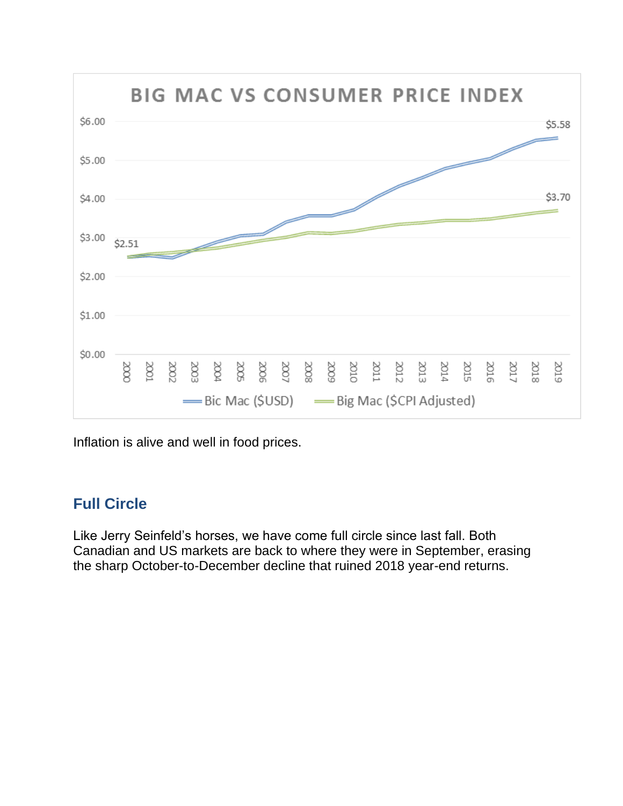

Inflation is alive and well in food prices.

## **Full Circle**

Like Jerry Seinfeld's horses, we have come full circle since last fall. Both Canadian and US markets are back to where they were in September, erasing the sharp October-to-December decline that ruined 2018 year-end returns.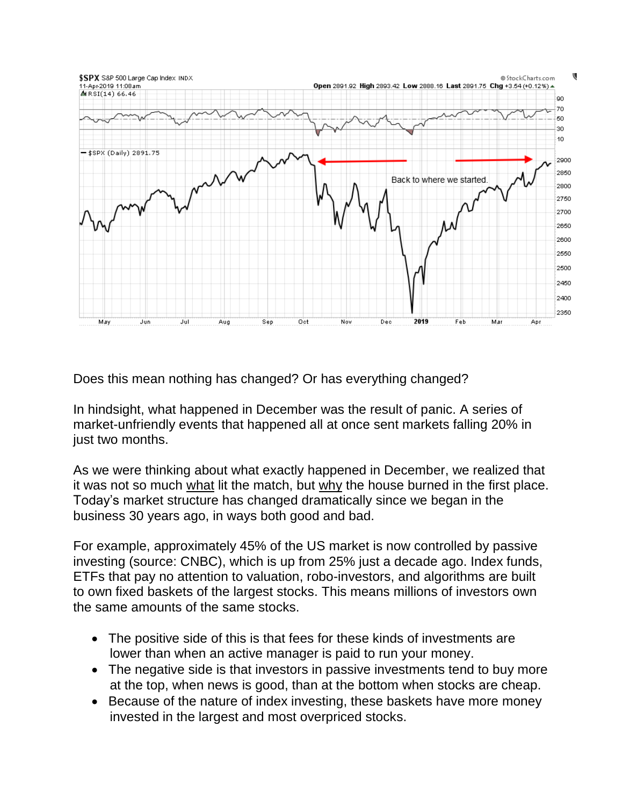

Does this mean nothing has changed? Or has everything changed?

In hindsight, what happened in December was the result of panic. A series of market-unfriendly events that happened all at once sent markets falling 20% in just two months.

As we were thinking about what exactly happened in December, we realized that it was not so much what lit the match, but why the house burned in the first place. Today's market structure has changed dramatically since we began in the business 30 years ago, in ways both good and bad.

For example, approximately 45% of the US market is now controlled by passive investing (source: CNBC), which is up from 25% just a decade ago. Index funds, ETFs that pay no attention to valuation, robo-investors, and algorithms are built to own fixed baskets of the largest stocks. This means millions of investors own the same amounts of the same stocks.

- The positive side of this is that fees for these kinds of investments are lower than when an active manager is paid to run your money.
- The negative side is that investors in passive investments tend to buy more at the top, when news is good, than at the bottom when stocks are cheap.
- Because of the nature of index investing, these baskets have more money invested in the largest and most overpriced stocks.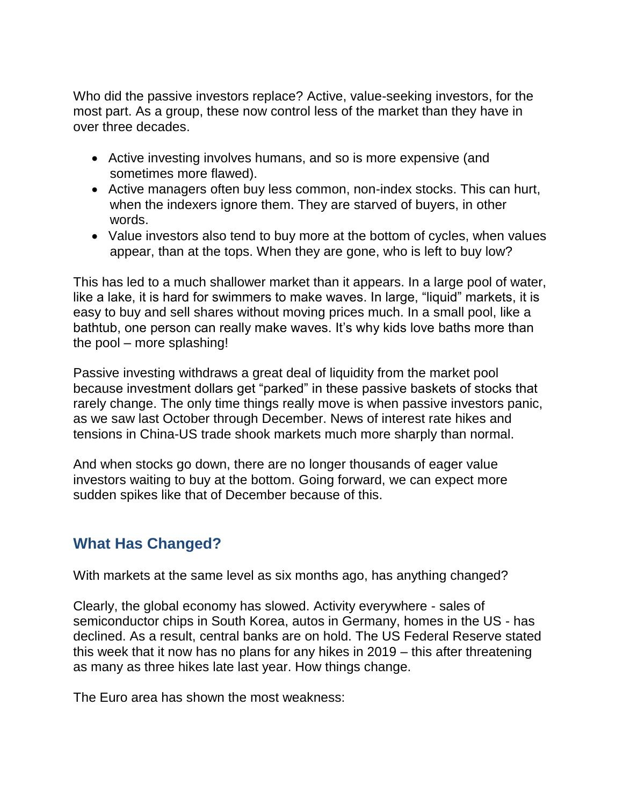Who did the passive investors replace? Active, value-seeking investors, for the most part. As a group, these now control less of the market than they have in over three decades.

- Active investing involves humans, and so is more expensive (and sometimes more flawed).
- Active managers often buy less common, non-index stocks. This can hurt, when the indexers ignore them. They are starved of buyers, in other words.
- Value investors also tend to buy more at the bottom of cycles, when values appear, than at the tops. When they are gone, who is left to buy low?

This has led to a much shallower market than it appears. In a large pool of water, like a lake, it is hard for swimmers to make waves. In large, "liquid" markets, it is easy to buy and sell shares without moving prices much. In a small pool, like a bathtub, one person can really make waves. It's why kids love baths more than the pool – more splashing!

Passive investing withdraws a great deal of liquidity from the market pool because investment dollars get "parked" in these passive baskets of stocks that rarely change. The only time things really move is when passive investors panic, as we saw last October through December. News of interest rate hikes and tensions in China-US trade shook markets much more sharply than normal.

And when stocks go down, there are no longer thousands of eager value investors waiting to buy at the bottom. Going forward, we can expect more sudden spikes like that of December because of this.

## **What Has Changed?**

With markets at the same level as six months ago, has anything changed?

Clearly, the global economy has slowed. Activity everywhere - sales of semiconductor chips in South Korea, autos in Germany, homes in the US - has declined. As a result, central banks are on hold. The US Federal Reserve stated this week that it now has no plans for any hikes in 2019 – this after threatening as many as three hikes late last year. How things change.

The Euro area has shown the most weakness: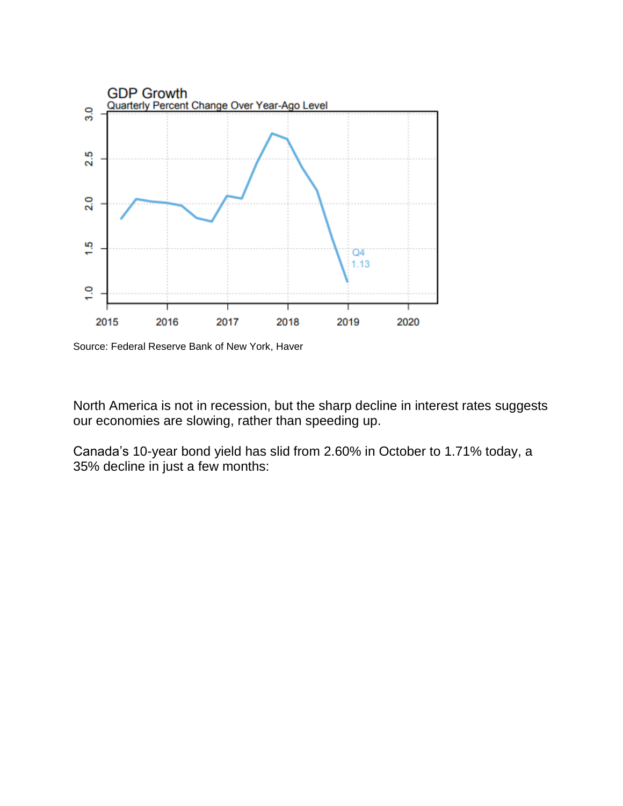

Source: Federal Reserve Bank of New York, Haver

North America is not in recession, but the sharp decline in interest rates suggests our economies are slowing, rather than speeding up.

Canada's 10-year bond yield has slid from 2.60% in October to 1.71% today, a 35% decline in just a few months: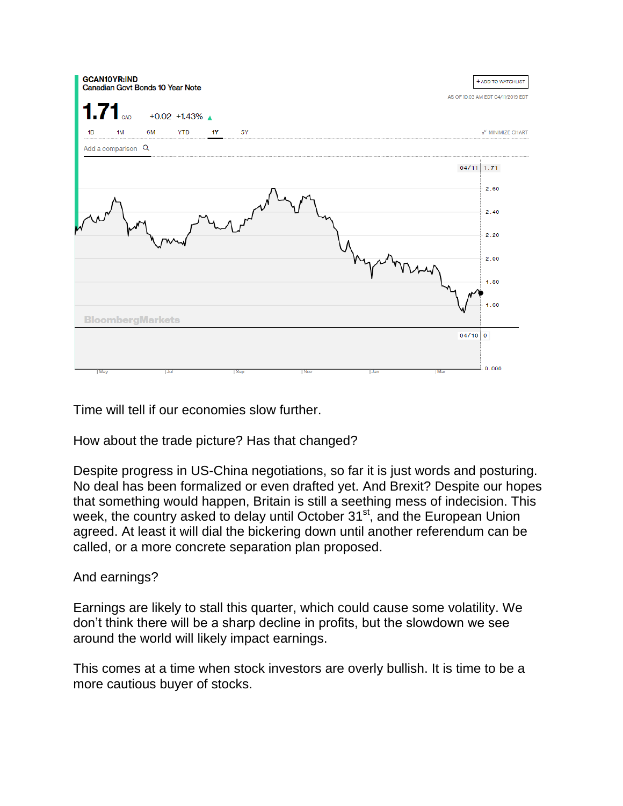| <b>GCAN10YR:IND</b><br>Canadian Govt Bonds 10 Year Note | + ADD TO WATCHLIST                |
|---------------------------------------------------------|-----------------------------------|
|                                                         | AS OF 10:03 AM EDT 04/11/2019 EDT |
| $1.71$ <sub>cap</sub><br>$+0.02 +1.43\%$                |                                   |
| 1D<br>1M<br>6M<br><b>YTD</b><br>1Y<br>5Y                | » <sup>K</sup> MINIMIZE CHART     |
| Add a comparison Q                                      |                                   |
| $04/11$ 1.71                                            |                                   |
|                                                         | 2.60                              |
|                                                         | 2.40                              |
|                                                         | 2.20                              |
|                                                         | 2.00                              |
|                                                         | 1.80                              |
| <b>BloombergMarkets</b>                                 | 1.60                              |
| $04/10$ 0                                               |                                   |
|                                                         |                                   |
| May<br>Mar<br>Jul<br> Sep <br>Nov<br> Jan               | 10.000                            |

Time will tell if our economies slow further.

How about the trade picture? Has that changed?

Despite progress in US-China negotiations, so far it is just words and posturing. No deal has been formalized or even drafted yet. And Brexit? Despite our hopes that something would happen, Britain is still a seething mess of indecision. This week, the country asked to delay until October 31<sup>st</sup>, and the European Union agreed. At least it will dial the bickering down until another referendum can be called, or a more concrete separation plan proposed.

#### And earnings?

Earnings are likely to stall this quarter, which could cause some volatility. We don't think there will be a sharp decline in profits, but the slowdown we see around the world will likely impact earnings.

This comes at a time when stock investors are overly bullish. It is time to be a more cautious buyer of stocks.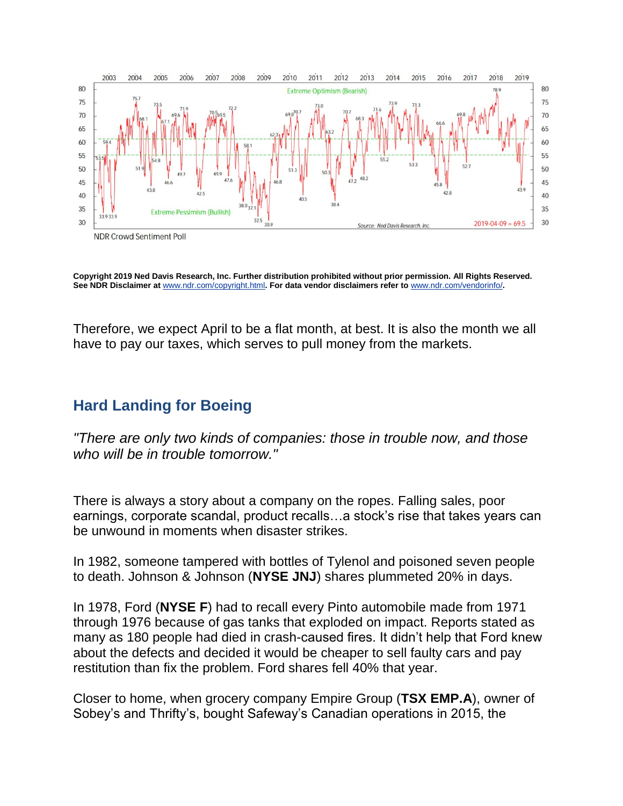

**Copyright 2019 Ned Davis Research, Inc. Further distribution prohibited without prior permission. All Rights Reserved. See NDR Disclaimer at** [www.ndr.com/copyright.html](https://urldefense.proofpoint.com/v2/url?u=http-3A__www.ndr.com_copyright.html&d=DwMF-g&c=K3dQCUGiI1B95NJ6cl3GoyhMW2dvBOfimZA-83UXll0&r=_6MBBSGYsFznIBwslhTiqBKEz4pHUCTd_9tbh_EpUMY&m=nyQvj3vzEZ2v5E43Jy1KppI09ejQVJH4Y2Zfg974Fj8&s=IQN_y2kOW0nYgGuH9zRTHYOBRpfSJ6heyleTnQTRakk&e=)**. For data vendor disclaimers refer to** [www.ndr.com/vendorinfo/](https://urldefense.proofpoint.com/v2/url?u=http-3A__www.ndr.com_vendorinfo_&d=DwMF-g&c=K3dQCUGiI1B95NJ6cl3GoyhMW2dvBOfimZA-83UXll0&r=_6MBBSGYsFznIBwslhTiqBKEz4pHUCTd_9tbh_EpUMY&m=nyQvj3vzEZ2v5E43Jy1KppI09ejQVJH4Y2Zfg974Fj8&s=AwZm-i6cMyKu39PkUXoqO9ANJPCg2XXoVVo0owptFvg&e=)**.**

Therefore, we expect April to be a flat month, at best. It is also the month we all have to pay our taxes, which serves to pull money from the markets.

### **Hard Landing for Boeing**

*"There are only two kinds of companies: those in trouble now, and those who will be in trouble tomorrow."*

There is always a story about a company on the ropes. Falling sales, poor earnings, corporate scandal, product recalls…a stock's rise that takes years can be unwound in moments when disaster strikes.

In 1982, someone tampered with bottles of Tylenol and poisoned seven people to death. Johnson & Johnson (**NYSE JNJ**) shares plummeted 20% in days.

In 1978, Ford (**NYSE F**) had to recall every Pinto automobile made from 1971 through 1976 because of gas tanks that exploded on impact. Reports stated as many as 180 people had died in crash-caused fires. It didn't help that Ford knew about the defects and decided it would be cheaper to sell faulty cars and pay restitution than fix the problem. Ford shares fell 40% that year.

Closer to home, when grocery company Empire Group (**TSX EMP.A**), owner of Sobey's and Thrifty's, bought Safeway's Canadian operations in 2015, the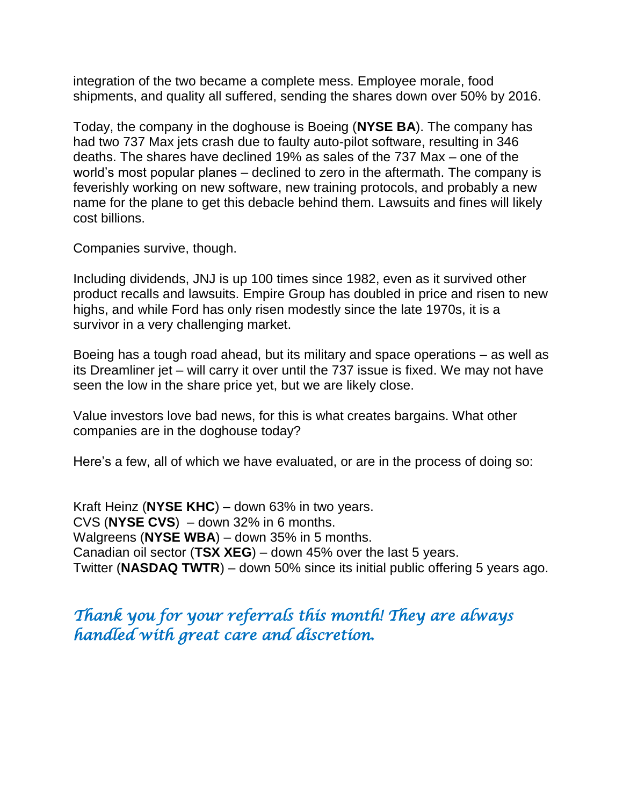integration of the two became a complete mess. Employee morale, food shipments, and quality all suffered, sending the shares down over 50% by 2016.

Today, the company in the doghouse is Boeing (**NYSE BA**). The company has had two 737 Max jets crash due to faulty auto-pilot software, resulting in 346 deaths. The shares have declined 19% as sales of the 737 Max – one of the world's most popular planes – declined to zero in the aftermath. The company is feverishly working on new software, new training protocols, and probably a new name for the plane to get this debacle behind them. Lawsuits and fines will likely cost billions.

Companies survive, though.

Including dividends, JNJ is up 100 times since 1982, even as it survived other product recalls and lawsuits. Empire Group has doubled in price and risen to new highs, and while Ford has only risen modestly since the late 1970s, it is a survivor in a very challenging market.

Boeing has a tough road ahead, but its military and space operations – as well as its Dreamliner jet – will carry it over until the 737 issue is fixed. We may not have seen the low in the share price yet, but we are likely close.

Value investors love bad news, for this is what creates bargains. What other companies are in the doghouse today?

Here's a few, all of which we have evaluated, or are in the process of doing so:

Kraft Heinz (**NYSE KHC**) – down 63% in two years. CVS (**NYSE CVS**) – down 32% in 6 months. Walgreens (**NYSE WBA**) – down 35% in 5 months. Canadian oil sector (**TSX XEG**) – down 45% over the last 5 years. Twitter (**NASDAQ TWTR**) – down 50% since its initial public offering 5 years ago.

# *Thank you for your referrals this month! They are always handled with great care and discretion.*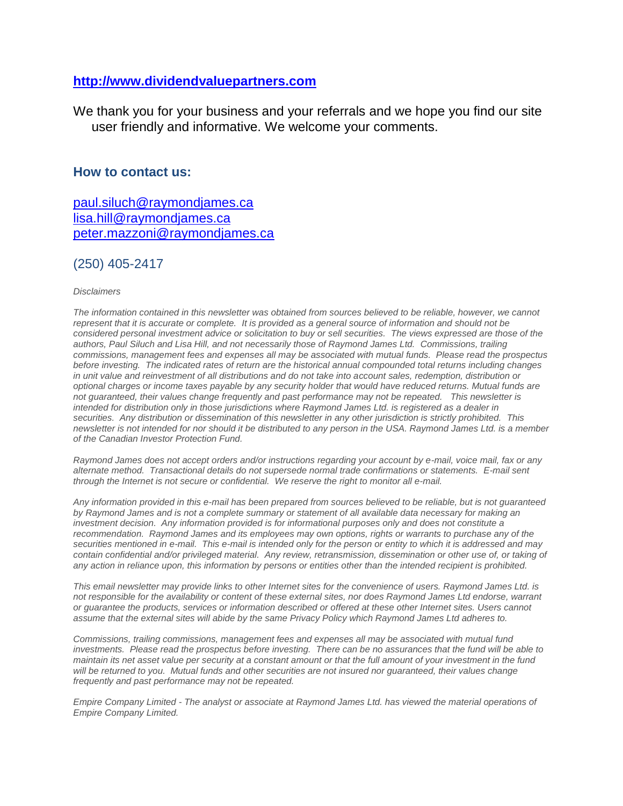#### **[http://www.dividendvaluepartners.com](https://urldefense.proofpoint.com/v2/url?u=http-3A__www.dividendvaluepartners.com&d=DwMFAw&c=K3dQCUGiI1B95NJ6cl3GoyhMW2dvBOfimZA-83UXll0&r=_6MBBSGYsFznIBwslhTiqBKEz4pHUCTd_9tbh_EpUMY&m=scBAtuMDuWZwK1IVr5YXjdB6aRS-faGHAMq3jOn6sJU&s=enZqe4ZgcjH_33x5dT-vZq9A37d4AhNkXvjc6AbmYww&e=)**

We thank you for your business and your referrals and we hope you find our site user friendly and informative. We welcome your comments.

#### **How to contact us:**

[paul.siluch@raymondjames.ca](https://owa-kel.raymondjames.ca/owa/redir.aspx?SURL=z0BxOCXDlQ-Aad1f_a9igaARxm5Rd1VXE7UcmD4mZ3IZiacj7DPTCG0AYQBpAGwAdABvADoAcABhAHUAbAAuAHMAaQBsAHUAYwBoAEAAcgBhAHkAbQBvAG4AZABqAGEAbQBlAHMALgBjAGEA&URL=mailto%3apaul.siluch%40raymondjames.ca) [lisa.hill@raymondjames.ca](https://owa-kel.raymondjames.ca/owa/redir.aspx?SURL=glaBgdTdxPMFpiw4eumg-PzZXpo9vJyObrXLs1TKtIAZiacj7DPTCG0AYQBpAGwAdABvADoAbABpAHMAYQAuAGgAaQBsAGwAQAByAGEAeQBtAG8AbgBkAGoAYQBtAGUAcwAuAGMAYQA.&URL=mailto%3alisa.hill%40raymondjames.ca) [peter.mazzoni@raymondjames.ca](https://owa-kel.raymondjames.ca/owa/redir.aspx?SURL=3c7mDL9-cZxYXt7CvkOu20QVFy1WCaDQxUZ3BQE6vecZiacj7DPTCG0AYQBpAGwAdABvADoAcABlAHQAZQByAC4AbQBhAHoAegBvAG4AaQBAAHIAYQB5AG0AbwBuAGQAagBhAG0AZQBzAC4AYwBhAA..&URL=mailto%3apeter.mazzoni%40raymondjames.ca)

#### (250) 405-2417

#### *Disclaimers*

*[The information contained in this newsletter was obtained from sources believed to be reliable, however, we cannot](https://owa-kel.raymondjames.ca/owa/redir.aspx?SURL=z0BxOCXDlQ-Aad1f_a9igaARxm5Rd1VXE7UcmD4mZ3IZiacj7DPTCG0AYQBpAGwAdABvADoAcABhAHUAbAAuAHMAaQBsAHUAYwBoAEAAcgBhAHkAbQBvAG4AZABqAGEAbQBlAHMALgBjAGEA&URL=mailto%3apaul.siluch%40raymondjames.ca)  represent that it is accurate or complete. [It is provided as a general source of information and should not be](https://owa-kel.raymondjames.ca/owa/redir.aspx?SURL=z0BxOCXDlQ-Aad1f_a9igaARxm5Rd1VXE7UcmD4mZ3IZiacj7DPTCG0AYQBpAGwAdABvADoAcABhAHUAbAAuAHMAaQBsAHUAYwBoAEAAcgBhAHkAbQBvAG4AZABqAGEAbQBlAHMALgBjAGEA&URL=mailto%3apaul.siluch%40raymondjames.ca)  [considered personal investment advice or solicitation to buy or sell securities.](https://owa-kel.raymondjames.ca/owa/redir.aspx?SURL=z0BxOCXDlQ-Aad1f_a9igaARxm5Rd1VXE7UcmD4mZ3IZiacj7DPTCG0AYQBpAGwAdABvADoAcABhAHUAbAAuAHMAaQBsAHUAYwBoAEAAcgBhAHkAbQBvAG4AZABqAGEAbQBlAHMALgBjAGEA&URL=mailto%3apaul.siluch%40raymondjames.ca) The views expressed are those of the [authors, Paul Siluch and Lisa Hill, and not necessarily those of Raymond James Ltd.](https://owa-kel.raymondjames.ca/owa/redir.aspx?SURL=z0BxOCXDlQ-Aad1f_a9igaARxm5Rd1VXE7UcmD4mZ3IZiacj7DPTCG0AYQBpAGwAdABvADoAcABhAHUAbAAuAHMAaQBsAHUAYwBoAEAAcgBhAHkAbQBvAG4AZABqAGEAbQBlAHMALgBjAGEA&URL=mailto%3apaul.siluch%40raymondjames.ca) Commissions, trailing [commissions, management fees and expenses all may be associated with mutual funds.](https://owa-kel.raymondjames.ca/owa/redir.aspx?SURL=z0BxOCXDlQ-Aad1f_a9igaARxm5Rd1VXE7UcmD4mZ3IZiacj7DPTCG0AYQBpAGwAdABvADoAcABhAHUAbAAuAHMAaQBsAHUAYwBoAEAAcgBhAHkAbQBvAG4AZABqAGEAbQBlAHMALgBjAGEA&URL=mailto%3apaul.siluch%40raymondjames.ca) Please read the prospectus before investing. [The indicated rates of return are the historical annual compounded total returns including changes](https://owa-kel.raymondjames.ca/owa/redir.aspx?SURL=z0BxOCXDlQ-Aad1f_a9igaARxm5Rd1VXE7UcmD4mZ3IZiacj7DPTCG0AYQBpAGwAdABvADoAcABhAHUAbAAuAHMAaQBsAHUAYwBoAEAAcgBhAHkAbQBvAG4AZABqAGEAbQBlAHMALgBjAGEA&URL=mailto%3apaul.siluch%40raymondjames.ca)  [in unit value and reinvestment of all distributions and do not take into account sales, redemption, distribution or](https://owa-kel.raymondjames.ca/owa/redir.aspx?SURL=z0BxOCXDlQ-Aad1f_a9igaARxm5Rd1VXE7UcmD4mZ3IZiacj7DPTCG0AYQBpAGwAdABvADoAcABhAHUAbAAuAHMAaQBsAHUAYwBoAEAAcgBhAHkAbQBvAG4AZABqAGEAbQBlAHMALgBjAGEA&URL=mailto%3apaul.siluch%40raymondjames.ca)  [optional charges or income taxes payable by any security holder that would have reduced returns. Mutual funds are](https://owa-kel.raymondjames.ca/owa/redir.aspx?SURL=z0BxOCXDlQ-Aad1f_a9igaARxm5Rd1VXE7UcmD4mZ3IZiacj7DPTCG0AYQBpAGwAdABvADoAcABhAHUAbAAuAHMAaQBsAHUAYwBoAEAAcgBhAHkAbQBvAG4AZABqAGEAbQBlAHMALgBjAGEA&URL=mailto%3apaul.siluch%40raymondjames.ca)  [not guaranteed, their values change frequently and past performance may not be repeated.](https://owa-kel.raymondjames.ca/owa/redir.aspx?SURL=z0BxOCXDlQ-Aad1f_a9igaARxm5Rd1VXE7UcmD4mZ3IZiacj7DPTCG0AYQBpAGwAdABvADoAcABhAHUAbAAuAHMAaQBsAHUAYwBoAEAAcgBhAHkAbQBvAG4AZABqAGEAbQBlAHMALgBjAGEA&URL=mailto%3apaul.siluch%40raymondjames.ca) This newsletter is [intended for distribution only in those jurisdictions where Raymond James Ltd. is registered as a dealer in](https://owa-kel.raymondjames.ca/owa/redir.aspx?SURL=z0BxOCXDlQ-Aad1f_a9igaARxm5Rd1VXE7UcmD4mZ3IZiacj7DPTCG0AYQBpAGwAdABvADoAcABhAHUAbAAuAHMAaQBsAHUAYwBoAEAAcgBhAHkAbQBvAG4AZABqAGEAbQBlAHMALgBjAGEA&URL=mailto%3apaul.siluch%40raymondjames.ca)  securities. [Any distribution or dissemination of this newsletter in any other jurisdiction is strictly prohibited.](https://owa-kel.raymondjames.ca/owa/redir.aspx?SURL=z0BxOCXDlQ-Aad1f_a9igaARxm5Rd1VXE7UcmD4mZ3IZiacj7DPTCG0AYQBpAGwAdABvADoAcABhAHUAbAAuAHMAaQBsAHUAYwBoAEAAcgBhAHkAbQBvAG4AZABqAGEAbQBlAHMALgBjAGEA&URL=mailto%3apaul.siluch%40raymondjames.ca) This [newsletter is not intended for nor should it be distributed to any person in the USA. Raymond James Ltd. is a member](https://owa-kel.raymondjames.ca/owa/redir.aspx?SURL=z0BxOCXDlQ-Aad1f_a9igaARxm5Rd1VXE7UcmD4mZ3IZiacj7DPTCG0AYQBpAGwAdABvADoAcABhAHUAbAAuAHMAaQBsAHUAYwBoAEAAcgBhAHkAbQBvAG4AZABqAGEAbQBlAHMALgBjAGEA&URL=mailto%3apaul.siluch%40raymondjames.ca)  [of the Canadian Investor Protection Fund.](https://owa-kel.raymondjames.ca/owa/redir.aspx?SURL=z0BxOCXDlQ-Aad1f_a9igaARxm5Rd1VXE7UcmD4mZ3IZiacj7DPTCG0AYQBpAGwAdABvADoAcABhAHUAbAAuAHMAaQBsAHUAYwBoAEAAcgBhAHkAbQBvAG4AZABqAGEAbQBlAHMALgBjAGEA&URL=mailto%3apaul.siluch%40raymondjames.ca)* 

*Raymond James [does not accept orders and/or instructions regarding your account by e-mail, voice mail, fax or any](https://owa-kel.raymondjames.ca/owa/redir.aspx?SURL=z0BxOCXDlQ-Aad1f_a9igaARxm5Rd1VXE7UcmD4mZ3IZiacj7DPTCG0AYQBpAGwAdABvADoAcABhAHUAbAAuAHMAaQBsAHUAYwBoAEAAcgBhAHkAbQBvAG4AZABqAGEAbQBlAHMALgBjAGEA&URL=mailto%3apaul.siluch%40raymondjames.ca)  alternate method. [Transactional details do not supersede normal trade confirmations or statements.](https://owa-kel.raymondjames.ca/owa/redir.aspx?SURL=z0BxOCXDlQ-Aad1f_a9igaARxm5Rd1VXE7UcmD4mZ3IZiacj7DPTCG0AYQBpAGwAdABvADoAcABhAHUAbAAuAHMAaQBsAHUAYwBoAEAAcgBhAHkAbQBvAG4AZABqAGEAbQBlAHMALgBjAGEA&URL=mailto%3apaul.siluch%40raymondjames.ca) E-mail sent [through the Internet is not secure or confidential.](https://owa-kel.raymondjames.ca/owa/redir.aspx?SURL=z0BxOCXDlQ-Aad1f_a9igaARxm5Rd1VXE7UcmD4mZ3IZiacj7DPTCG0AYQBpAGwAdABvADoAcABhAHUAbAAuAHMAaQBsAHUAYwBoAEAAcgBhAHkAbQBvAG4AZABqAGEAbQBlAHMALgBjAGEA&URL=mailto%3apaul.siluch%40raymondjames.ca) We reserve the right to monitor all e-mail.*

*Any information [provided in this e-mail has been prepared from sources believed to be reliable, but is not guaranteed](https://owa-kel.raymondjames.ca/owa/redir.aspx?SURL=z0BxOCXDlQ-Aad1f_a9igaARxm5Rd1VXE7UcmD4mZ3IZiacj7DPTCG0AYQBpAGwAdABvADoAcABhAHUAbAAuAHMAaQBsAHUAYwBoAEAAcgBhAHkAbQBvAG4AZABqAGEAbQBlAHMALgBjAGEA&URL=mailto%3apaul.siluch%40raymondjames.ca)  by Raymond James [and is not a complete summary or statement of all available data necessary for making an](https://owa-kel.raymondjames.ca/owa/redir.aspx?SURL=z0BxOCXDlQ-Aad1f_a9igaARxm5Rd1VXE7UcmD4mZ3IZiacj7DPTCG0AYQBpAGwAdABvADoAcABhAHUAbAAuAHMAaQBsAHUAYwBoAEAAcgBhAHkAbQBvAG4AZABqAGEAbQBlAHMALgBjAGEA&URL=mailto%3apaul.siluch%40raymondjames.ca)  investment decision. [Any information provided is for informational purposes only and does not constitute a](https://owa-kel.raymondjames.ca/owa/redir.aspx?SURL=z0BxOCXDlQ-Aad1f_a9igaARxm5Rd1VXE7UcmD4mZ3IZiacj7DPTCG0AYQBpAGwAdABvADoAcABhAHUAbAAuAHMAaQBsAHUAYwBoAEAAcgBhAHkAbQBvAG4AZABqAGEAbQBlAHMALgBjAGEA&URL=mailto%3apaul.siluch%40raymondjames.ca)  recommendation. Raymond James [and its employees may own options, rights or warrants to purchase any of the](https://owa-kel.raymondjames.ca/owa/redir.aspx?SURL=z0BxOCXDlQ-Aad1f_a9igaARxm5Rd1VXE7UcmD4mZ3IZiacj7DPTCG0AYQBpAGwAdABvADoAcABhAHUAbAAuAHMAaQBsAHUAYwBoAEAAcgBhAHkAbQBvAG4AZABqAGEAbQBlAHMALgBjAGEA&URL=mailto%3apaul.siluch%40raymondjames.ca)  securities mentioned in e-mail. [This e-mail is intended only for the person or entity to which it is addressed and may](https://owa-kel.raymondjames.ca/owa/redir.aspx?SURL=z0BxOCXDlQ-Aad1f_a9igaARxm5Rd1VXE7UcmD4mZ3IZiacj7DPTCG0AYQBpAGwAdABvADoAcABhAHUAbAAuAHMAaQBsAHUAYwBoAEAAcgBhAHkAbQBvAG4AZABqAGEAbQBlAHMALgBjAGEA&URL=mailto%3apaul.siluch%40raymondjames.ca)  contain confidential and/or privileged material. [Any review, retransmission, dissemination or other use of, or taking of](https://owa-kel.raymondjames.ca/owa/redir.aspx?SURL=z0BxOCXDlQ-Aad1f_a9igaARxm5Rd1VXE7UcmD4mZ3IZiacj7DPTCG0AYQBpAGwAdABvADoAcABhAHUAbAAuAHMAaQBsAHUAYwBoAEAAcgBhAHkAbQBvAG4AZABqAGEAbQBlAHMALgBjAGEA&URL=mailto%3apaul.siluch%40raymondjames.ca)  [any action in reliance upon, this information by persons or entities other than the intended recipient is prohibited.](https://owa-kel.raymondjames.ca/owa/redir.aspx?SURL=z0BxOCXDlQ-Aad1f_a9igaARxm5Rd1VXE7UcmD4mZ3IZiacj7DPTCG0AYQBpAGwAdABvADoAcABhAHUAbAAuAHMAaQBsAHUAYwBoAEAAcgBhAHkAbQBvAG4AZABqAGEAbQBlAHMALgBjAGEA&URL=mailto%3apaul.siluch%40raymondjames.ca)*

*This email newsletter may provide links to other Internet sites for the convenience of users. Raymond James Ltd. is not responsible for the availability or content of these external sites, nor does Raymond James Ltd endorse, warrant or guarantee the products, services or information described or offered at these other Internet sites. Users cannot assume that the external sites will abide by the same Privacy Policy which Raymond James Ltd adheres to.*

*Commissions, trailing commissions, management fees and expenses all may be associated with mutual fund investments. Please read the prospectus before investing. There can be no assurances that the fund will be able to maintain its net asset value per security at a constant amount or that the full amount of your investment in the fund will be returned to you. Mutual funds and other securities are not insured nor guaranteed, their values change frequently and past performance may not be repeated.*

*Empire Company Limited - The analyst or associate at Raymond James Ltd. has viewed the material operations of Empire Company Limited.*